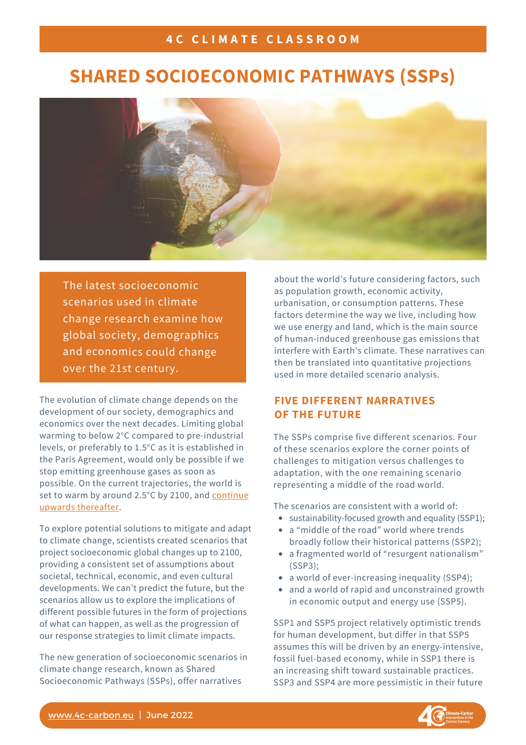## **4 C C L I M A T E C L A S S R O O M**

# **SHARED SOCIOECONOMIC PATHWAYS (SSPs)**



The latest socioeconomic scenarios used in climate change research examine how global society, demographics and economics could change over the 21st century.

The evolution of climate change depends on the development of our society, demographics and economics over the next decades. Limiting global warming to below 2°C compared to pre-industrial levels, or preferably to 1.5°C as it is established in the Paris Agreement, would only be possible if we stop emitting greenhouse gases as soon as possible. On the current trajectories, the world is set to warm by around 2.5°C by 2100, and continue upwards [thereafter.](https://www.nature.com/articles/d41586-022-00874-1)

To explore potential solutions to mitigate and adapt to climate change, scientists created scenarios that project socioeconomic global changes up to 2100, providing a consistent set of assumptions about societal, technical, economic, and even cultural developments. We can't predict the future, but the scenarios allow us to explore the implications of different possible futures in the form of projections of what can happen, as well as the progression of our response strategies to limit climate impacts.

The new generation of socioeconomic scenarios in climate change research, known as Shared Socioeconomic Pathways (SSPs), offer narratives

about the world's future considering factors, such as population growth, economic activity, urbanisation, or consumption patterns. These factors determine the way we live, including how we use energy and land, which is the main source of human-induced greenhouse gas emissions that interfere with Earth's climate. These narratives can then be translated into quantitative projections used in more detailed scenario analysis.

## **FIVE DIFFERENT NARRATIVES OF THE FUTURE**

The SSPs comprise five different scenarios. Four of these scenarios explore the corner points of challenges to mitigation versus challenges to adaptation, with the one remaining scenario representing a middle of the road world.

The scenarios are consistent with a world of:

- sustainability-focused growth and equality (SSP1);
- a "middle of the road" world where trends broadly follow their historical patterns (SSP2);
- a fragmented world of "resurgent nationalism" (SSP3);
- a world of ever-increasing inequality (SSP4);
- and a world of rapid and unconstrained growth in economic output and energy use (SSP5).

SSP1 and SSP5 project relatively optimistic trends for human development, but differ in that SSP5 assumes this will be driven by an energy-intensive, fossil fuel-based economy, while in SSP1 there is an increasing shift toward sustainable practices. SSP3 and SSP4 are more pessimistic in their future